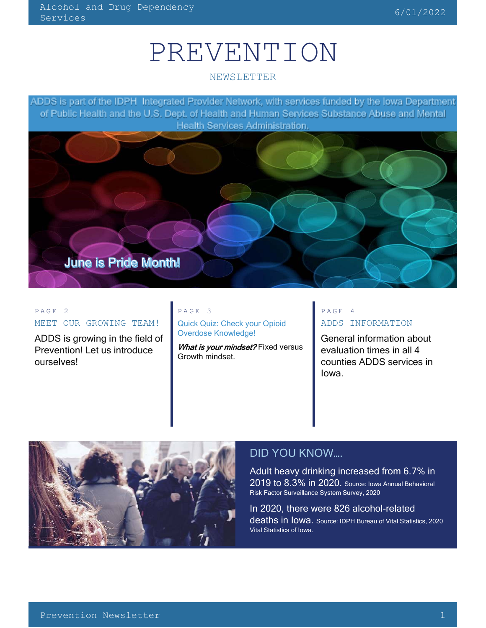# PREVENTION

#### NEWSLETTER

ADDS is part of the IDPH Integrated Provider Network, with services funded by the lowa Department of Public Health and the U.S. Dept. of Health and Human Services Substance Abuse and Mental **Health Services Administration.** 



#### PAGE 2 MEET OUR GROWING TEAM!

ADDS is growing in the field of Prevention! Let us introduce ourselves!

#### PAGE 3

Quick Quiz: Check your Opioid Overdose Knowledge!

What is your mindset? Fixed versus Growth mindset.

## PAGE 4 ADDS INFORMATION

General information about evaluation times in all 4 counties ADDS services in Iowa.



## DID YOU KNOW….

Adult heavy drinking increased from 6.7% in 2019 to 8.3% in 2020. Source: Iowa Annual Behavioral Risk Factor Surveillance System Survey, 2020

In 2020, there were 826 alcohol-related deaths in Iowa. Source: IDPH Bureau of Vital Statistics, 2020 Vital Statistics of Iowa.

 $\overline{\phantom{a}}$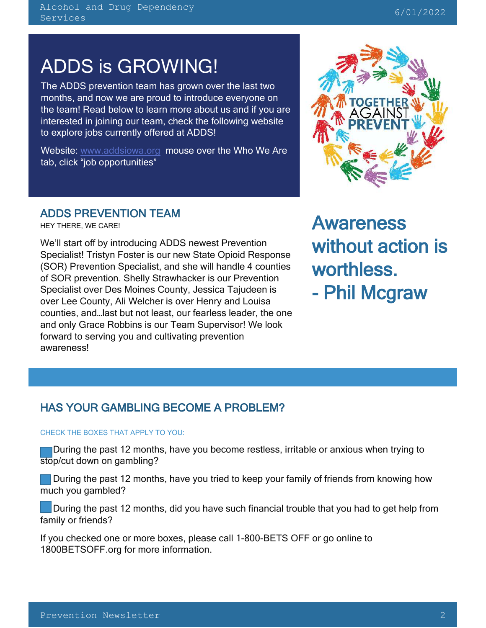## ADDS is GROWING!

The ADDS prevention team has grown over the last two months, and now we are proud to introduce everyone on the team! Read below to learn more about us and if you are interested in joining our team, check the following website to explore jobs currently offered at ADDS!

Website: [www.addsiowa.org](http://www.addsiowa.org/) mouse over the Who We Are tab, click "job opportunities"

## ADDS PREVENTION TEAM

HEY THERE, WE CARE!

L

We'll start off by introducing ADDS newest Prevention Specialist! Tristyn Foster is our new State Opioid Response (SOR) Prevention Specialist, and she will handle 4 counties of SOR prevention. Shelly Strawhacker is our Prevention Specialist over Des Moines County, Jessica Tajudeen is over Lee County, Ali Welcher is over Henry and Louisa counties, and…last but not least, our fearless leader, the one and only Grace Robbins is our Team Supervisor! We look forward to serving you and cultivating prevention awareness!



Awareness without action is worthless. - Phil Mcgraw

## HAS YOUR GAMBLING BECOME A PROBLEM?

#### CHECK THE BOXES THAT APPLY TO YOU:

 During the past 12 months, have you become restless, irritable or anxious when trying to stop/cut down on gambling?

**During the past 12 months, have you tried to keep your family of friends from knowing how** much you gambled?

 During the past 12 months, did you have such financial trouble that you had to get help from family or friends?

If you checked one or more boxes, please call 1-800-BETS OFF or go online to 1800BETSOFF.org for more information.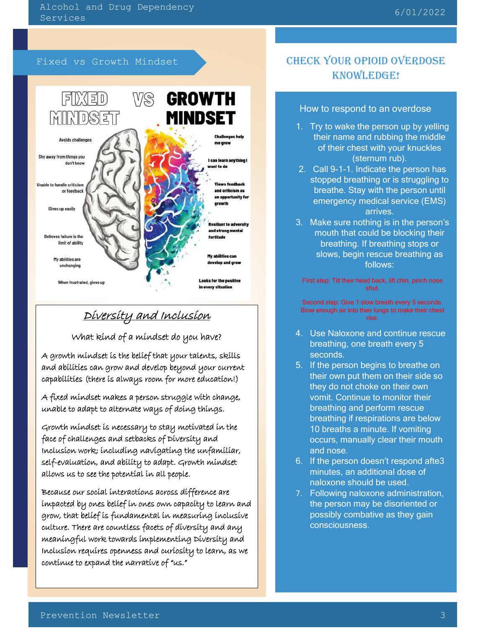Fixed vs Growth Mindset



## Diversity and Inclusion

What kind of a mindset do you have?

A growth mindset is the belief that your talents, skills and abilities can grow and develop beyond your current capabilities (there is always room for more education!)

A fixed mindset makes a person struggle with change, unable to adapt to alternate ways of doing things.

Growth mindset is necessary to stay motivated in the face of challenges and setbacks of Diversity and Inclusion work; including navigating the unfamiliar, self-evaluation, and ability to adapt. Growth mindset allows us to see the potential in all people.

Inclusion requires openness and curiosity to learn, as we contínue to expand the narratíve of "us." Because our social interactions across difference are impacted by ones belief in ones own capacity to learn and grow, that belief is fundamental in measuring inclusive culture. There are countless facets of diversity and any meaningful work towards implementing Diversity and

## CHECK YOUR OPIOID OVERDOSE KNOWLEDGE!

#### How to respond to an overdose

- 1. Try to wake the person up by yelling their name and rubbing the middle of their chest with your knuckles (sternum rub).
- 2. Call 9-1-1. Indicate the person has stopped breathing or is struggling to breathe. Stay with the person until emergency medical service (EMS) arrives.
- 3. Make sure nothing is in the person's mouth that could be blocking their breathing. If breathing stops or slows, begin rescue breathing as follows:

First step: Tilt their head back, lift chin, pinch nose shut.

Second step: Give 1 slow breath every 5 seconds. Blow enough air into their lungs to make their chest rise.

- 4. Use Naloxone and continue rescue breathing, one breath every 5 seconds.
- 5. If the person begins to breathe on their own put them on their side so they do not choke on their own vomit. Continue to monitor their breathing and perform rescue breathing if respirations are below 10 breaths a minute. If vomiting occurs, manually clear their mouth and nose.
- 6. If the person doesn't respond afte3 minutes, an additional dose of naloxone should be used.
- 7. Following naloxone administration, the person may be disoriented or possibly combative as they gain consciousness.

j